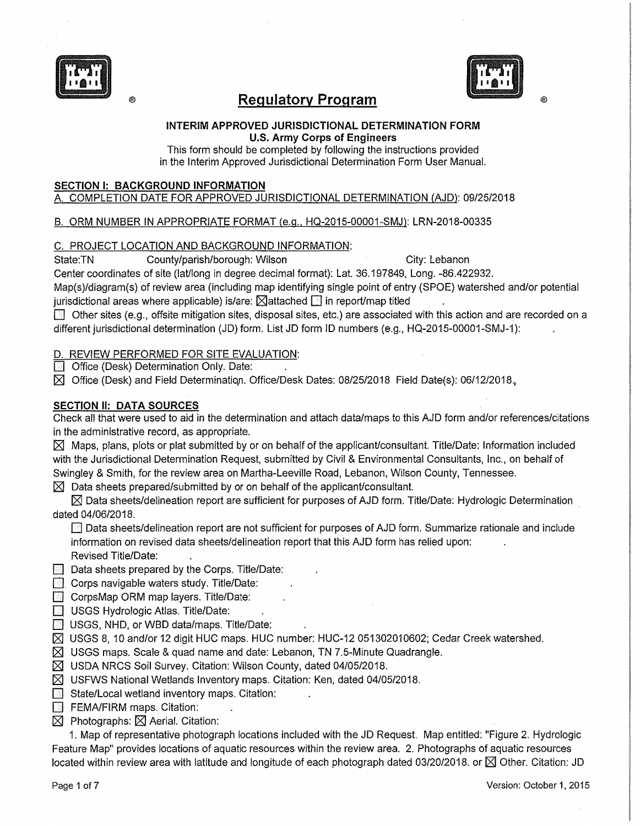

# ® **Regulatory Program**



®

**INTERIM APPROVED JURISDICTIONAL DETERMINATION FORM U.S. Army Corps of Engineers** 

This form should be completed by following the instructions provided in the Interim Approved Jurisdictional Determination Form User Manual.

#### **SECTION I: BACKGROUND INFORMATION**

A COMPLETION DATE FOR APPROVED JURISDICTIONAL DETERMINATION (AJD): 09/25/2018

# B. ORM NUMBER IN APPROPRIATE FORMAT {e.g., HQ-2015-00001-SMJ): LRN-2018-00335

#### C. PROJECT LOCATION AND BACKGROUND INFORMATION:

State:TN County/parish/borough: Wilson City: Lebanon

Center coordinates of site (lat/long in degree decimal format): Lat. 36.197849, Long. -86.422932.

Map(s)/diagram(s) of review area (including map identifying single point of entry (SPOE) watershed and/or potential jurisdictional areas where applicable) is/are:  $\boxtimes$  attached  $\Box$  in report/map titled

 $\Box$  Other sites (e.g., offsite mitigation sites, disposal sites, etc.) are associated with this action and are recorded on a different jurisdictional determination (JD) form. List JD form ID numbers (e.g., HQ-2015-00001-SMJ-1):

# D. REVIEW PERFORMED FOR SITE EVALUATION:

**C** Office (Desk) Determination Only. Date:

 $\boxtimes$  Office (Desk) and Field Determination. Office/Desk Dates: 08/25/2018 Field Date(s): 06/12/2018.

# **SECTION II: DATA SOURCES**

Check all that were used to aid in the determination and attach data/maps to this AJD form and/or references/citations in the administrative record, as appropriate.

 $\boxtimes$  Maps, plans, plots or plat submitted by or on behalf of the applicant/consultant. Title/Date: Information included with the Jurisdictional Determination Request, submitted by Civil & Environmental Consultants, Inc., on behalf of Swingley & Smith, for the review area on Martha-Leeville Road, Lebanon, Wilson County, Tennessee.

 $\boxtimes$  Data sheets prepared/submitted by or on behalf of the applicant/consultant.

 $\boxtimes$  Data sheets/delineation report are sufficient for purposes of AJD form. Title/Date: Hydrologic Determination dated 04/06/2018.

**Data sheets/delineation report are not sufficient for purposes of AJD form. Summarize rationale and include** information on revised data sheets/delineation report that this AJD form has relied upon: Revised Title/Date:

 $\boxed{=}$  Data sheets prepared by the Corps. Title/Date:

**EL Corps navigable waters study. Title/Date:** 

 $\Box$  CorpsMap ORM map layers. Title/Date:

**[8]** USGS Hydrologic Atlas. Title/Date:

- **I** USGS, NHD, or WBD data/maps. Title/Date:
- $\boxtimes$  USGS 8, 10 and/or 12 digit HUC maps. HUC number: HUC-12 051302010602; Cedar Creek watershed.

 $\boxtimes$  USGS maps. Scale & quad name and date: Lebanon, TN 7.5-Minute Quadrangle.

 $\boxtimes$  USDA NRCS Soil Survey. Citation: Wilson County, dated 04/05/2018.

 $\boxtimes$  USFWS National Wetlands Inventory maps. Citation: Ken, dated 04/05/2018.

- $\Box$  State/Local wetland inventory maps. Citation:
- **E** FEMA/FIRM maps. Citation:
- $\boxtimes$  Photographs:  $\boxtimes$  Aerial. Citation:

1. Map of representative photograph locations included with the JD Request. Map entitled: "Figure 2. Hydrologic Feature Map" provides locations of aquatic resources within the review area. 2. Photographs of aquatic resources located within review area with latitude and longitude of each photograph dated 03/20/2018. or  $\boxtimes$  Other. Citation: JD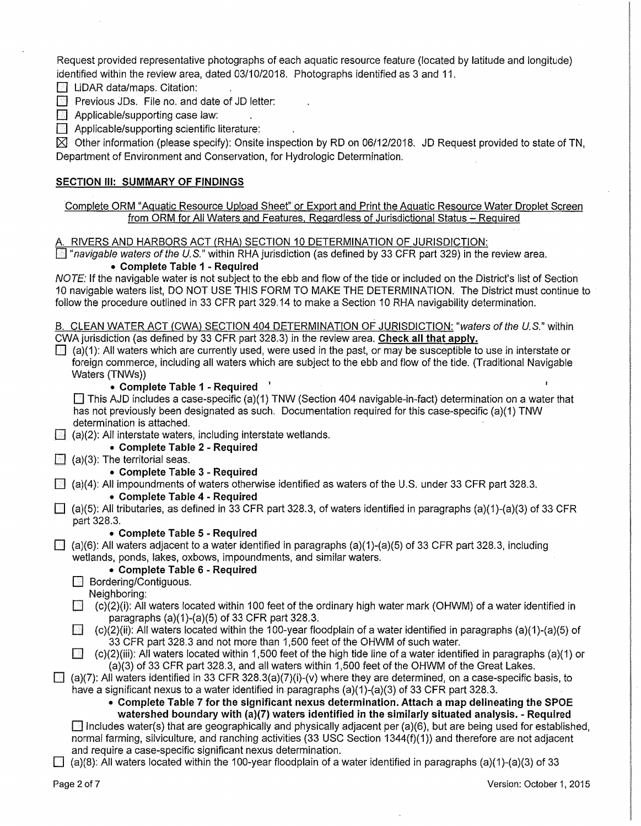Request provided representative photographs of each aquatic resource feature (located by latitude and longitude) identified within the review area, dated 03/10/2018. Photographs identified as 3 and 11.

*I* LiDAR data/maps. Citation:

C] Previous JDs. File no. and date of JD letter:

 $\boxed{N}$  Applicable/supporting case law:

 $\Box$  Applicable/supporting scientific literature:

 $\boxtimes$  Other information (please specify): Onsite inspection by RD on 06/12/2018. JD Request provided to state of TN, Department of Environment and Conservation, for Hydrologic Determination.

#### **SECTION** Ill: **SUMMARY OF FINDINGS**

Complete ORM "Aquatic Resource Upload Sheet" or Export and Print the Aquatic Resource Water Droplet Screen from ORM for All Waters and Features. Regardless of Jurisdictional Status - Required

A RIVERS AND HARBORS ACT (RHA) SECTION 10 DETERMINATION OF JURISDICTION:

 $\Box$  "navigable waters of the U.S." within RHA jurisdiction (as defined by 33 CFR part 329) in the review area.

#### • **Complete Table** 1 - **Required** .

NOTE: If the navigable water is not subject to the ebb and flow of the tide or included on the District's list of Section 10 navigable waters list, DO NOT USE THIS FORM TO MAKE THE DETERMINATION. The District must continue to follow the procedure outlined in 33 CFR part 329.14 to make a Section 10 RHA navigability determination.

B. CLEAN WATER ACT (CWA) SECTION 404 DETERMINATION OF JURISDICTION: "waters of the U.S." within CWAjurisdiction (as defined by 33 CFR part 328.3) in the review area. **Check all that apply.** 

 $\Box$  (a)(1): All waters which are currently used, were used in the past, or may be susceptible to use in interstate or foreign commerce, including all waters which are subject to the ebb and flow of the tide. (Traditional Navigable Waters (TNWs))

#### • **Complete Table 1** - **Required** '

 $\Box$  This AJD includes a case-specific (a)(1) TNW (Section 404 navigable-in-fact) determination on a water that has not previously been designated as such. Documentation required for this case-specific (a)(1) TNW determination is attached.

 $\Box$  (a)(2): All interstate waters, including interstate wetlands.

• **Complete Table 2** - **Required** 

 $\Box$  (a)(3): The territorial seas.

• **Complete Table 3** - **Required** 

 $\Box$  (a)(4): All impoundments of waters otherwise identified as waters of the U.S. under 33 CFR part 328.3.

#### • **Complete Table 4** - **Required**

 $\boxdot$  (a)(5): All tributaries, as defined in 33 CFR part 328.3, of waters identified in paragraphs (a)(1)-(a)(3) of 33 CFR part 328.3.

#### • **Complete Table 5** - **Required**

 $\Box$  (a)(6): All waters adjacent to a water identified in paragraphs (a)(1)-(a)(5) of 33 CFR part 328.3, including wetlands, ponds, lakes, oxbows, impoundments, and similar waters.

#### • **Complete Table 6** - **Required**

**B** Bordering/Contiguous.

Neighboring:

- $\Box$  (c)(2)(i): All waters located within 100 feet of the ordinary high water mark (OHWM) of a water identified in paragraphs (a)(1)-(a)(5) of 33 CFR part 328.3.
- $\Box$  (c)(2)(ii): All waters located within the 100-year floodplain of a water identified in paragraphs (a)(1)-(a)(5) of 33 CFR part 328.3 and not more than 1,500 feet of the OHWM of such water.

 $[$  (c)(2)(iii): All waters located within 1,500 feet of the high tide line of a water identified in paragraphs (a)(1) or (a)(3) of 33 CFR part 328.3, and all waters within 1,500 feet of the OHWM of the Great Lakes.

### $\Box$  (a)(7): All waters identified in 33 CFR 328.3(a)(7)(i)-(v) where they are determined, on a case-specific basis, to have a significant nexus to a water identified in paragraphs (a)(1)-(a)(3) of 33 CFR part 328.3.

• **Complete Table 7 for the significant nexus determination. Attach a map delineating the SPOE watershed boundary with (a)(7) waters identified in the similarly situated analysis.** - **Required** 

 $\Box$  includes water(s) that are geographically and physically adjacent per (a)(6), but are being used for established, normal farming, silviculture, and ranching activities (33 USC Section 1344(f)(1)) and therefore are not adjacent and require a case-specific significant nexus determination.

 $\Box$  (a)(8): All waters located within the 100-year floodplain of a water identified in paragraphs (a)(1)-(a)(3) of 33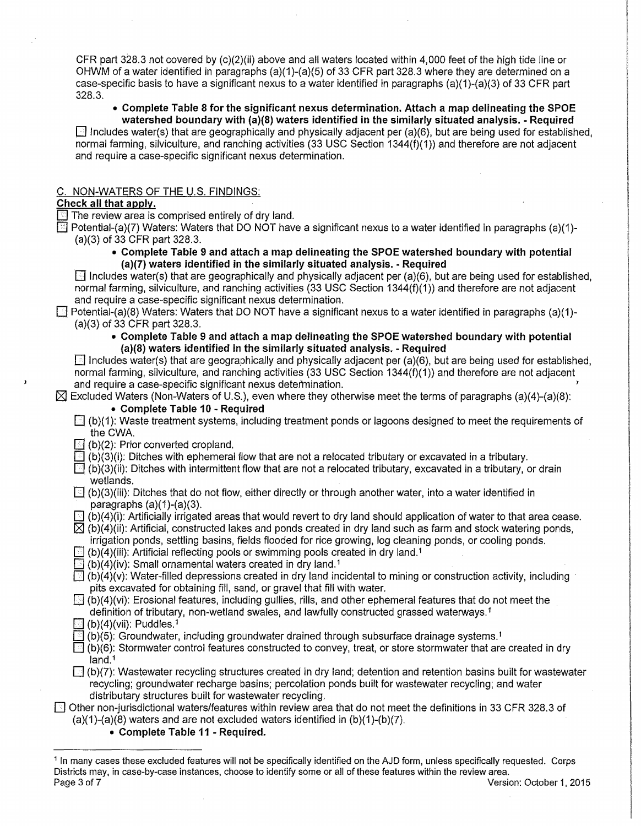CFR part 328.3 not covered by  $(c)(2)(ii)$  above and all waters located within 4,000 feet of the high tide line or OHWM of a water identified in paragraphs (a)(1)-(a)(5) of 33 CFR part 328.3 where they are determined on a case-specific basis to have a significant nexus to a water identified in paragraphs (a)(1 )-(a)(3) of 33 CFR part 328.3.

#### • **Complete Table 8 for the significant nexus determination. Attach a map delineating the SPOE watershed boundary with (a)(8) waters identified in the similarly situated analysis.** - **Required**

 $\Box$  Includes water(s) that are geographically and physically adjacent per (a)(6), but are being used for established, normal farming, silviculture, and ranching activities (33 USC Section 1344(f){1)) and therefore are not adjacent and require a case-specific significant nexus determination.

#### C. NON-WATERS OF THE U.S. FINDINGS:

# **Check all that apply.**

 $\Box$  The review area is comprised entirely of dry land.

 $\Box$  Potential-(a)(7) Waters: Waters that DO NOT have a significant nexus to a water identified in paragraphs (a)(1)-(a)(3) of 33 CFR part 328.3.

#### • **Complete Table 9 and attach a map delineating the SPOE watershed boundary with potential (a)(7) waters identified** in **the similarly situated analysis.** - **Required**

 $\Box$  Includes water(s) that are geographically and physically adjacent per (a)(6), but are being used for established, normal farming, silviculture, and ranching activities (33 USC Section 1344(f)(1)) and therefore are not adjacent and require a case-specific significant nexus determination.

 $\Box$  Potential-(a)(8) Waters: Waters that DO NOT have a significant nexus to a water identified in paragraphs (a)(1)-(a)(3) of 33 CFR part 328.3.

#### • **Complete Table 9 and attach a map delineating the SPOE watershed boundary with potential {a)(8) waters identified** in **the similarly situated analysis.** - **Required**

 $\Box$  Includes water(s) that are geographically and physically adjacent per (a)(6), but are being used for established, normal farming, sllviculture, and ranching activities (33 USC Section 1344(f)(1)) and therefore are not adjacent and require a case-specific significant nexus detefrnination.

 $\boxtimes$  Excluded Waters (Non-Waters of U.S.), even where they otherwise meet the terms of paragraphs (a)(4)-(a)(8):

#### • **Complete Table 10** - **Required**

- $\Box$  (b)(1): Waste treatment systems, including treatment ponds or lagoons designed to meet the requirements of the CWA.
- $\mathbb{E}$  (b)(2): Prior converted cropland.
- $\Box$  (b)(3)(i): Ditches with ephemeral flow that are not a relocated tributary or excavated in a tributary.
- $\Box$  (b)(3)(ii): Ditches with intermittent flow that are not a relocated tributary, excavated in a tributary, or drain wetlands.
- $\Box$  (b)(3)(iii): Ditches that do not flow, either directly or through another water, into a water identified in paragraphs  $(a)(1)-(a)(3)$ .
- $(b)(4)(i)$ : Artificially irrigated areas that would revert to dry land should application of water to that area cease.

 $[2]$  (b)(4)(ii): Artificial, constructed lakes and ponds created in dry land such as farm and stock watering ponds, irrigation ponds, settling basins, fields flooded for rice growing, log cleaning ponds, or cooling ponds.

- $\mathbb{B}$  (b)(4)(iii): Artificial reflecting pools or swimming pools created in dry land.<sup>1</sup>
- $\blacksquare$  (b)(4)(iv): Small ornamental waters created in dry land.<sup>1</sup>
- $\Box$  (b)(4)(v): Water-filled depressions created in dry land incidental to mining or construction activity, including pits excavated for obtaining fill, sand, or gravel that fill with water.

 $\boxdot$  (b)(4)(vi): Erosional features, including gullies, rills, and other ephemeral features that do not meet the definition of tributary, non-wetland swales, and lawfully constructed grassed waterways. 1

- $(b)(4)(vii)$ : Puddles.<sup>1</sup>
- $(b)(5)$ : Groundwater, including groundwater drained through subsurface drainage systems.<sup>1</sup>
- $\Box$  (b)(6): Stormwater control features constructed to convey, treat, or store stormwater that are created in dry land.<sup>1</sup>
- $\Box$  (b)(7): Wastewater recycling structures created in dry land; detention and retention basins built for wastewater recycling; groundwater recharge basins; percolation ponds built for wastewater recycling; and water distributary structures built for wastewater recycling.

#### [J Other non-jurisdictional waters/features within review area that do not meet the definitions in 33 CFR 328.3 of (a)(1)-(a)(8) waters and are not excluded waters identified in (b)(1)-(b)(7).

• **Complete Table 11** - **Required.** 

<sup>1</sup> In many cases these excluded features will not be specifically identified on the AJD form, unless specifically requested. Corps Districts may, in case-by-case instances, choose to identify some or all of these features within the review area. Page 3 of 7 Version: October 1, 2015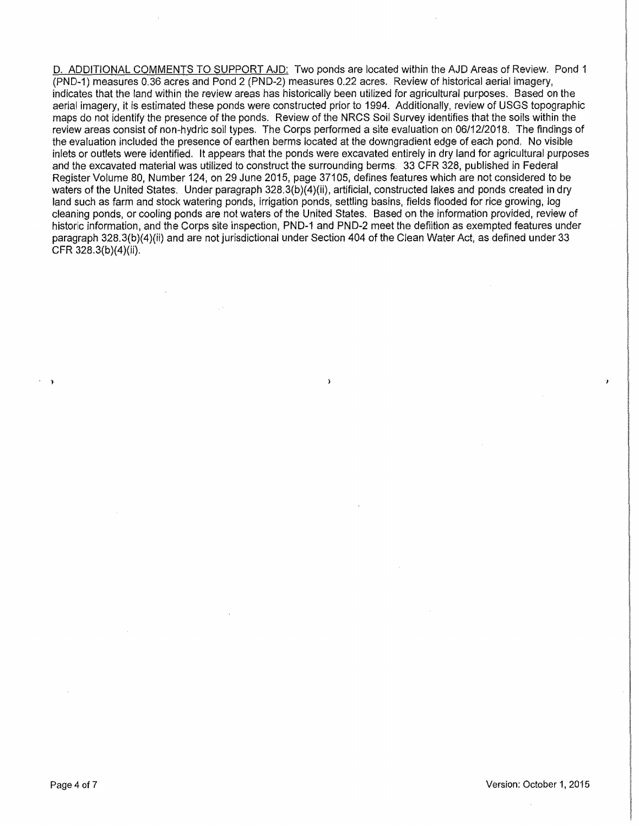D. ADDITIONAL COMMENTS TO SUPPORT AJD: Two ponds are located within the AJD Areas of Review. Pond 1 (PND-1) measures 0.36 acres and Pond 2 (PND-2) measures 0.22 acres. Review of historical aerial imagery, indicates that the land within the review areas has historically been utilized for agricultural purposes. Based on the aerial imagery, it is estimated these ponds were constructed prior to 1994. Additionally, review of USGS topographic maps do not identify the presence of the ponds. Review of the NRCS Soil Survey identifies that the soils within the review areas consist of non-hydric soil types. The Corps performed a site evaluation on 06/12/2018. The findings of the evaluation included the presence of earthen berms located at the downgradient edge of each pond. No visible inlets or outlets were identified. It appears that the ponds were excavated entirely in dry land for agricultural purposes and the excavated material was utilized to construct the surrounding berms. 33 CFR 328, published in Federal Register Volume 80, Number 124, on 29 June 2015, page 37105, defines features which are not considered to be waters of the United States. Under paragraph 328.3(b)(4)(ii), artificial, constructed lakes and ponds created in dry land such as farm and stock watering ponds, irrigation ponds, settling basins, fields flooded for rice growing, log cleaning ponds, or cooling ponds are not waters of the United States. Based on the information provided, review of historic information, and the Corps site inspection, PND-1 and PND-2 meet the defiition as exempted features under paragraph 328.3(b)(4)(ii) and are not jurisdictional under Section 404 of the Clean Water Act, as defined under 33 CFR 328.3(b)(4)(ii).

 $\lambda$ 

- l

÷,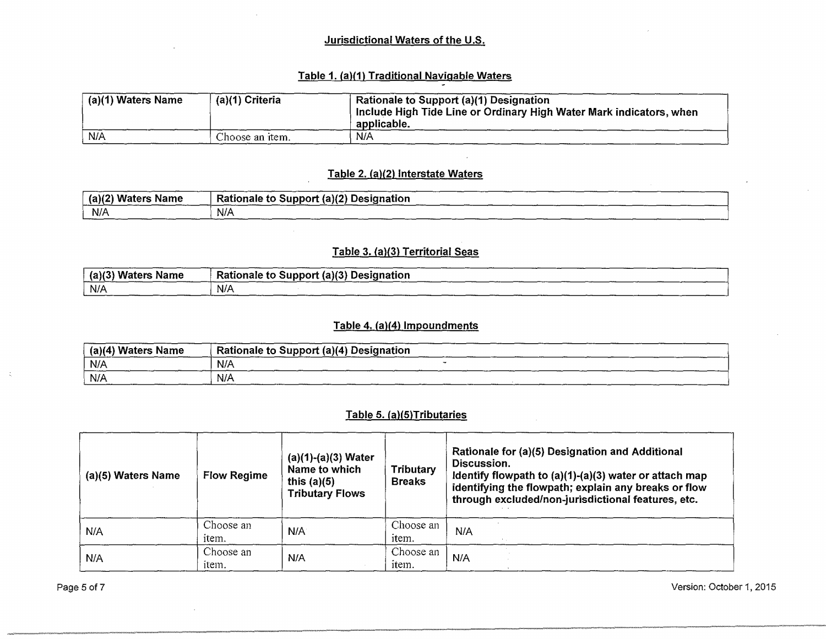# Jurisdictional Waters of the U.S.

# Table 1. (a){1) Traditional Navigable Waters

| (a)(1) Waters Name | (a)(1) Criteria | Rationale to Support (a)(1) Designation<br>Include High Tide Line or Ordinary High Water Mark indicators, when<br>applicable. |
|--------------------|-----------------|-------------------------------------------------------------------------------------------------------------------------------|
| N/A                | Choose an item. | N/A                                                                                                                           |

#### Table 2. (a){2) Interstate Waters

| (a)(2)<br><b>Waters</b><br>Name | Rationale to Support (a)(2) Designation |
|---------------------------------|-----------------------------------------|
| N/A                             | N/A                                     |

# Table 3. (a)(3) Territorial Seas

| (a)(3)<br>` Waters Name | Rationale to Support (a)(3) Designation |
|-------------------------|-----------------------------------------|
| $N$ //                  | N/A                                     |

# Table 4. (a)(4) Impoundments

| <sup>⊧</sup> (a)(4) Waters Name | $^{\circ}$ Rationale to Support (a)(4) Designation |
|---------------------------------|----------------------------------------------------|
| N/A                             | N/A                                                |
| N/A                             | N/A                                                |

# Table 5. (a)(5)Tributaries

| (a)(5) Waters Name<br><b>Flow Regime</b> |                    | $(a)(1)-(a)(3)$ Water<br>Name to which<br>this $(a)(5)$<br><b>Tributary Flows</b> | <b>Tributary</b><br><b>Breaks</b> | Rationale for (a)(5) Designation and Additional<br>Discussion.<br>Identify flowpath to $(a)(1)-(a)(3)$ water or attach map<br>identifying the flowpath; explain any breaks or flow<br>through excluded/non-jurisdictional features, etc. |
|------------------------------------------|--------------------|-----------------------------------------------------------------------------------|-----------------------------------|------------------------------------------------------------------------------------------------------------------------------------------------------------------------------------------------------------------------------------------|
| N/A                                      | Choose an<br>item. | N/A                                                                               | Choose an<br>item.                | N/A                                                                                                                                                                                                                                      |
| N/A                                      | Choose an<br>item. | N/A                                                                               | Choose an<br>item.                | N/A                                                                                                                                                                                                                                      |

Page 5 of 7 Version: October 1, 2015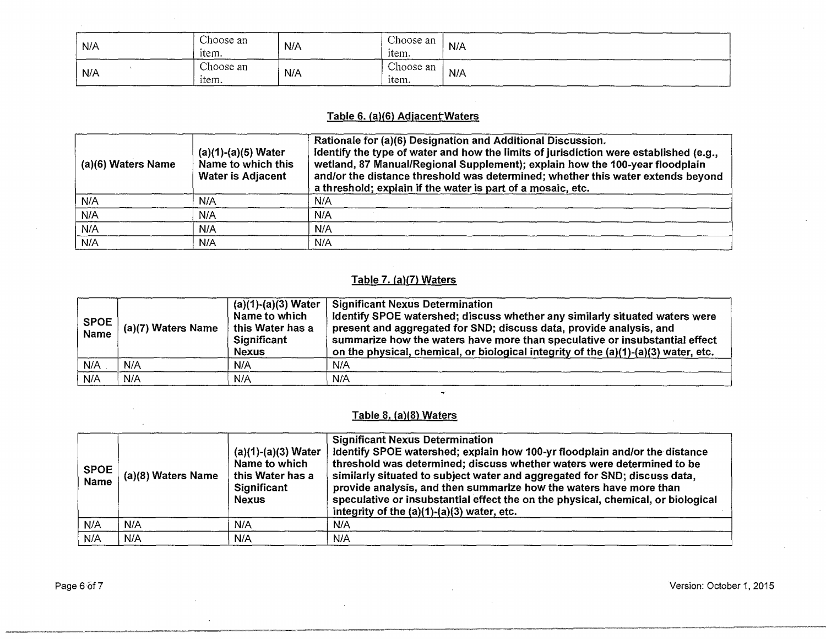| N/A | Choose an<br>$\bullet$ .<br>ītem. | N/A | Choose an<br>item. | N/A           |
|-----|-----------------------------------|-----|--------------------|---------------|
| N/A | Choose an<br>item.                | N/A | Choose an<br>item. | N/A<br>______ |

# Table 6. (a)(6) Adjacent Waters

| (a)(6) Waters Name | $(a)(1)-(a)(5)$ Water<br>Name to which this<br><b>Water is Adjacent</b> | Rationale for (a)(6) Designation and Additional Discussion.<br>Identify the type of water and how the limits of jurisdiction were established (e.g.,<br>wetland, 87 Manual/Regional Supplement); explain how the 100-year floodplain<br>and/or the distance threshold was determined; whether this water extends beyond<br>a threshold; explain if the water is part of a mosaic, etc. |
|--------------------|-------------------------------------------------------------------------|----------------------------------------------------------------------------------------------------------------------------------------------------------------------------------------------------------------------------------------------------------------------------------------------------------------------------------------------------------------------------------------|
| N/A                | N/A                                                                     | N/A                                                                                                                                                                                                                                                                                                                                                                                    |
| N/A                | N/A                                                                     | N/A                                                                                                                                                                                                                                                                                                                                                                                    |
| N/A                | N/A                                                                     | N/A                                                                                                                                                                                                                                                                                                                                                                                    |
| N/A                | N/A                                                                     | N/A                                                                                                                                                                                                                                                                                                                                                                                    |

# Table 7. (a)(7) Waters

| <b>SPOE</b><br><b>Name</b> | ່ (a)(7) Waters Name | $(a)(1)-(a)(3)$ Water<br>Name to which<br>this Water has a<br>Significant<br><b>Nexus</b> | <b>Significant Nexus Determination</b><br>Identify SPOE watershed; discuss whether any similarly situated waters were<br>present and aggregated for SND; discuss data, provide analysis, and<br>summarize how the waters have more than speculative or insubstantial effect<br>on the physical, chemical, or biological integrity of the (a)(1)-(a)(3) water, etc. |
|----------------------------|----------------------|-------------------------------------------------------------------------------------------|--------------------------------------------------------------------------------------------------------------------------------------------------------------------------------------------------------------------------------------------------------------------------------------------------------------------------------------------------------------------|
| N/A                        | N/A                  | N/A                                                                                       | N/A                                                                                                                                                                                                                                                                                                                                                                |
| N/A                        | N/A                  | N/A                                                                                       | N/A                                                                                                                                                                                                                                                                                                                                                                |

# Table 8. {a)(8} Waters

| <b>SPOE</b><br>Name | (a)(8) Waters Name | $(a)(1)-(a)(3)$ Water<br>Name to which<br>this Water has a<br>Significant<br><b>Nexus</b> | <b>Significant Nexus Determination</b><br>Identify SPOE watershed; explain how 100-yr floodplain and/or the distance<br>threshold was determined; discuss whether waters were determined to be<br>similarly situated to subject water and aggregated for SND; discuss data,<br>provide analysis, and then summarize how the waters have more than<br>speculative or insubstantial effect the on the physical, chemical, or biological<br>integrity of the $(a)(1)-(a)(3)$ water, etc. |  |
|---------------------|--------------------|-------------------------------------------------------------------------------------------|---------------------------------------------------------------------------------------------------------------------------------------------------------------------------------------------------------------------------------------------------------------------------------------------------------------------------------------------------------------------------------------------------------------------------------------------------------------------------------------|--|
| N/A                 | N/A                | N/A                                                                                       | N/A                                                                                                                                                                                                                                                                                                                                                                                                                                                                                   |  |
| N/A                 | N/A                | N/A                                                                                       | N/A                                                                                                                                                                                                                                                                                                                                                                                                                                                                                   |  |

Page 6 of7 Version: October 1, 2015